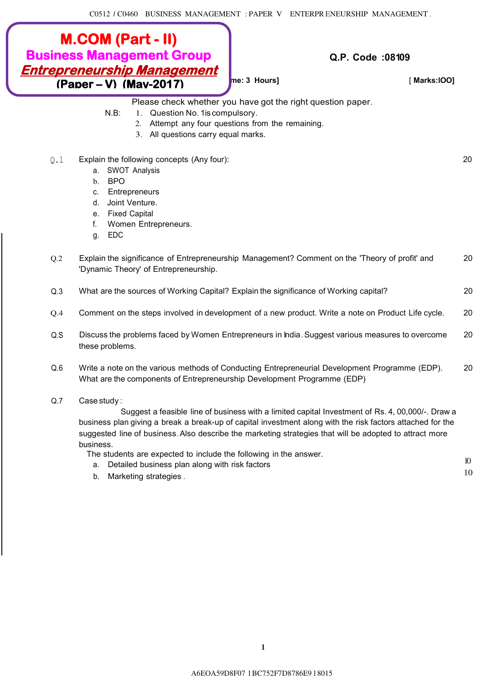## **M.COM (Part - II) Business Management Group Entrepreneurship Management (Paper – V) (May-2017)**

**[Time: 3 Hours]** [ **Marks:lOO]**

10

**Q.P. Code :08109**

Please check whether you have got the right question paper.

- N.B: 1. Question No. 1 is compulsory.
	- 2. Attempt any four questions from the remaining.
		- 3. All questions carry equal marks.
- Q.l Explain the following concepts (Any four): 20
	- a. SWOT Analysis
	- b. BPO
	- c. Entrepreneurs
	- d. Joint Venture.
	- e. Fixed Capital
	- f. Women Entrepreneurs.
	- g. EDC

| O.2 | Explain the significance of Entrepreneurship Management? Comment on the 'Theory of profit' and<br>'Dynamic Theory' of Entrepreneurship. | 20 |
|-----|-----------------------------------------------------------------------------------------------------------------------------------------|----|
| Q.3 | What are the sources of Working Capital? Explain the significance of Working capital?                                                   | 20 |
| O.4 | Comment on the steps involved in development of a new product. Write a note on Product Life cycle.                                      | 20 |

- Q.S Discuss the problems faced by Women Entrepreneurs in India. Suggest various measures to overcome 20 these problems.
- Q.6 Write a note on the various methods of Conducting Entrepreneurial Development Programme (EDP). 20 What are the components of Entrepreneurship Development Programme (EDP)
- Q.7 Case study :

Suggest a feasible line of business with a limited capital Investment of Rs. 4, 00,000/-. Draw a business plan giving a break a break-up of capital investment along with the risk factors attached for the suggested line of business. Also describe the marketing strategies that will be adopted to attract more business.

The students are expected to include the following in the answer.

- a. Detailed business plan along with risk factors  $10$ <br>a. Detailed business plan along with risk factors
- b. Marketing strategies .